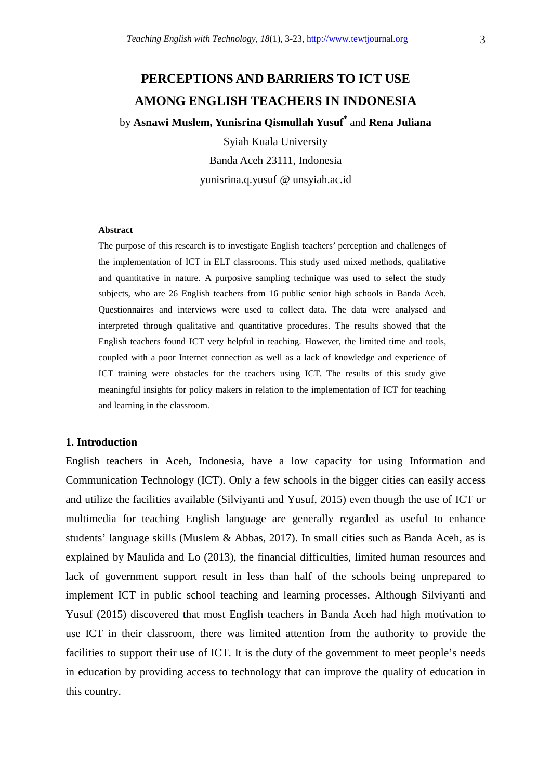# **PERCEPTIONS AND BARRIERS TO ICT USE AMONG ENGLISH TEACHERS IN INDONESIA**

by **Asnawi Muslem, Yunisrina Qismullah Yusuf\*** and **Rena Juliana** 

Syiah Kuala University Banda Aceh 23111, Indonesia yunisrina.q.yusuf @ unsyiah.ac.id

### **Abstract**

The purpose of this research is to investigate English teachers' perception and challenges of the implementation of ICT in ELT classrooms. This study used mixed methods, qualitative and quantitative in nature. A purposive sampling technique was used to select the study subjects, who are 26 English teachers from 16 public senior high schools in Banda Aceh. Questionnaires and interviews were used to collect data. The data were analysed and interpreted through qualitative and quantitative procedures. The results showed that the English teachers found ICT very helpful in teaching. However, the limited time and tools, coupled with a poor Internet connection as well as a lack of knowledge and experience of ICT training were obstacles for the teachers using ICT. The results of this study give meaningful insights for policy makers in relation to the implementation of ICT for teaching and learning in the classroom.

### **1. Introduction**

English teachers in Aceh, Indonesia, have a low capacity for using Information and Communication Technology (ICT). Only a few schools in the bigger cities can easily access and utilize the facilities available (Silviyanti and Yusuf, 2015) even though the use of ICT or multimedia for teaching English language are generally regarded as useful to enhance students' language skills (Muslem & Abbas, 2017). In small cities such as Banda Aceh, as is explained by Maulida and Lo (2013), the financial difficulties, limited human resources and lack of government support result in less than half of the schools being unprepared to implement ICT in public school teaching and learning processes. Although Silviyanti and Yusuf (2015) discovered that most English teachers in Banda Aceh had high motivation to use ICT in their classroom, there was limited attention from the authority to provide the facilities to support their use of ICT. It is the duty of the government to meet people's needs in education by providing access to technology that can improve the quality of education in this country.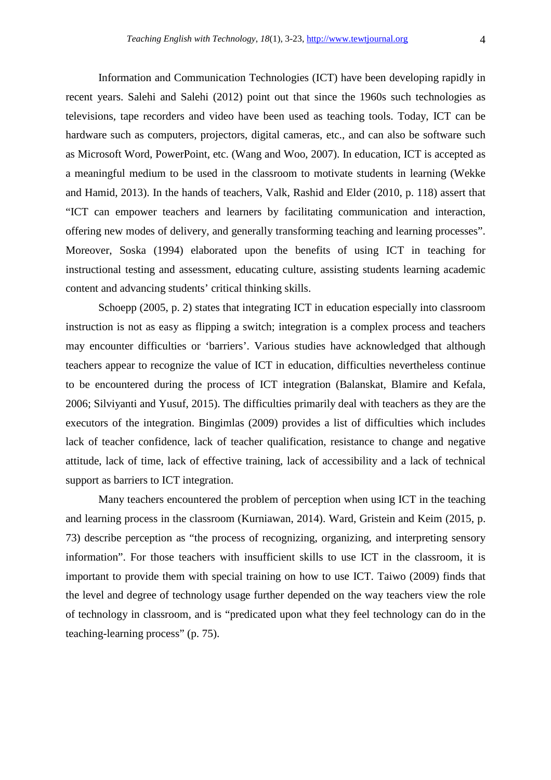Information and Communication Technologies (ICT) have been developing rapidly in recent years. Salehi and Salehi (2012) point out that since the 1960s such technologies as televisions, tape recorders and video have been used as teaching tools. Today, ICT can be hardware such as computers, projectors, digital cameras, etc., and can also be software such as Microsoft Word, PowerPoint, etc. (Wang and Woo, 2007). In education, ICT is accepted as a meaningful medium to be used in the classroom to motivate students in learning (Wekke and Hamid, 2013). In the hands of teachers, Valk, Rashid and Elder (2010, p. 118) assert that "ICT can empower teachers and learners by facilitating communication and interaction, offering new modes of delivery, and generally transforming teaching and learning processes". Moreover, Soska (1994) elaborated upon the benefits of using ICT in teaching for instructional testing and assessment, educating culture, assisting students learning academic content and advancing students' critical thinking skills.

 Schoepp (2005, p. 2) states that integrating ICT in education especially into classroom instruction is not as easy as flipping a switch; integration is a complex process and teachers may encounter difficulties or 'barriers'. Various studies have acknowledged that although teachers appear to recognize the value of ICT in education, difficulties nevertheless continue to be encountered during the process of ICT integration (Balanskat, Blamire and Kefala, 2006; Silviyanti and Yusuf, 2015). The difficulties primarily deal with teachers as they are the executors of the integration. Bingimlas (2009) provides a list of difficulties which includes lack of teacher confidence, lack of teacher qualification, resistance to change and negative attitude, lack of time, lack of effective training, lack of accessibility and a lack of technical support as barriers to ICT integration.

 Many teachers encountered the problem of perception when using ICT in the teaching and learning process in the classroom (Kurniawan, 2014). Ward, Gristein and Keim (2015, p. 73) describe perception as "the process of recognizing, organizing, and interpreting sensory information". For those teachers with insufficient skills to use ICT in the classroom, it is important to provide them with special training on how to use ICT. Taiwo (2009) finds that the level and degree of technology usage further depended on the way teachers view the role of technology in classroom, and is "predicated upon what they feel technology can do in the teaching-learning process" (p. 75).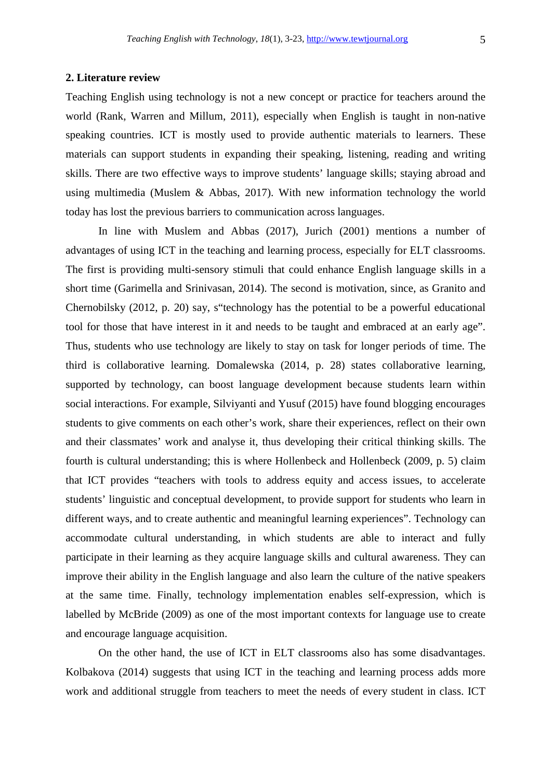### **2. Literature review**

Teaching English using technology is not a new concept or practice for teachers around the world (Rank, Warren and Millum, 2011), especially when English is taught in non-native speaking countries. ICT is mostly used to provide authentic materials to learners. These materials can support students in expanding their speaking, listening, reading and writing skills. There are two effective ways to improve students' language skills; staying abroad and using multimedia (Muslem & Abbas, 2017). With new information technology the world today has lost the previous barriers to communication across languages.

 In line with Muslem and Abbas (2017), Jurich (2001) mentions a number of advantages of using ICT in the teaching and learning process, especially for ELT classrooms. The first is providing multi-sensory stimuli that could enhance English language skills in a short time (Garimella and Srinivasan, 2014). The second is motivation, since, as Granito and Chernobilsky (2012, p. 20) say, s"technology has the potential to be a powerful educational tool for those that have interest in it and needs to be taught and embraced at an early age". Thus, students who use technology are likely to stay on task for longer periods of time. The third is collaborative learning. Domalewska (2014, p. 28) states collaborative learning, supported by technology, can boost language development because students learn within social interactions. For example, Silviyanti and Yusuf (2015) have found blogging encourages students to give comments on each other's work, share their experiences, reflect on their own and their classmates' work and analyse it, thus developing their critical thinking skills. The fourth is cultural understanding; this is where Hollenbeck and Hollenbeck (2009, p. 5) claim that ICT provides "teachers with tools to address equity and access issues, to accelerate students' linguistic and conceptual development, to provide support for students who learn in different ways, and to create authentic and meaningful learning experiences". Technology can accommodate cultural understanding, in which students are able to interact and fully participate in their learning as they acquire language skills and cultural awareness. They can improve their ability in the English language and also learn the culture of the native speakers at the same time. Finally, technology implementation enables self-expression, which is labelled by McBride (2009) as one of the most important contexts for language use to create and encourage language acquisition.

 On the other hand, the use of ICT in ELT classrooms also has some disadvantages. Kolbakova (2014) suggests that using ICT in the teaching and learning process adds more work and additional struggle from teachers to meet the needs of every student in class. ICT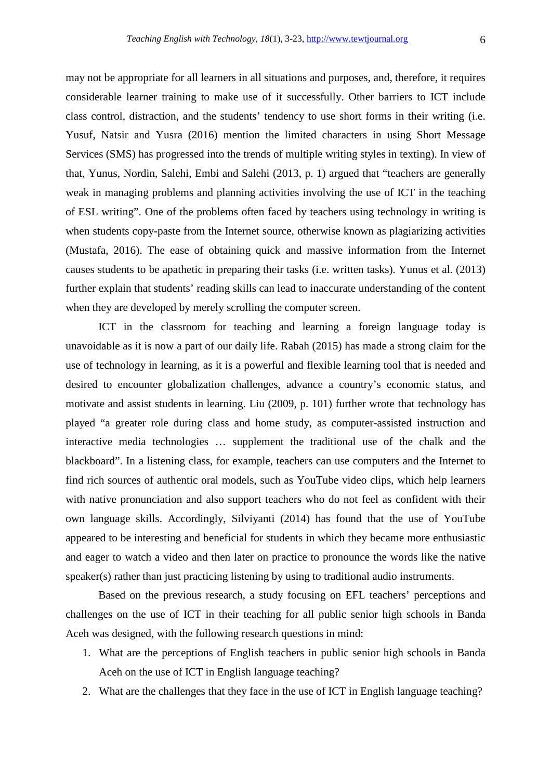may not be appropriate for all learners in all situations and purposes, and, therefore, it requires considerable learner training to make use of it successfully. Other barriers to ICT include class control, distraction, and the students' tendency to use short forms in their writing (i.e. Yusuf, Natsir and Yusra (2016) mention the limited characters in using Short Message Services (SMS) has progressed into the trends of multiple writing styles in texting). In view of that, Yunus, Nordin, Salehi, Embi and Salehi (2013, p. 1) argued that "teachers are generally weak in managing problems and planning activities involving the use of ICT in the teaching of ESL writing". One of the problems often faced by teachers using technology in writing is when students copy-paste from the Internet source, otherwise known as plagiarizing activities (Mustafa, 2016). The ease of obtaining quick and massive information from the Internet causes students to be apathetic in preparing their tasks (i.e. written tasks). Yunus et al. (2013) further explain that students' reading skills can lead to inaccurate understanding of the content when they are developed by merely scrolling the computer screen.

 ICT in the classroom for teaching and learning a foreign language today is unavoidable as it is now a part of our daily life. Rabah (2015) has made a strong claim for the use of technology in learning, as it is a powerful and flexible learning tool that is needed and desired to encounter globalization challenges, advance a country's economic status, and motivate and assist students in learning. Liu (2009, p. 101) further wrote that technology has played "a greater role during class and home study, as computer-assisted instruction and interactive media technologies … supplement the traditional use of the chalk and the blackboard". In a listening class, for example, teachers can use computers and the Internet to find rich sources of authentic oral models, such as YouTube video clips, which help learners with native pronunciation and also support teachers who do not feel as confident with their own language skills. Accordingly, Silviyanti (2014) has found that the use of YouTube appeared to be interesting and beneficial for students in which they became more enthusiastic and eager to watch a video and then later on practice to pronounce the words like the native speaker(s) rather than just practicing listening by using to traditional audio instruments.

 Based on the previous research, a study focusing on EFL teachers' perceptions and challenges on the use of ICT in their teaching for all public senior high schools in Banda Aceh was designed, with the following research questions in mind:

- 1. What are the perceptions of English teachers in public senior high schools in Banda Aceh on the use of ICT in English language teaching?
- 2. What are the challenges that they face in the use of ICT in English language teaching?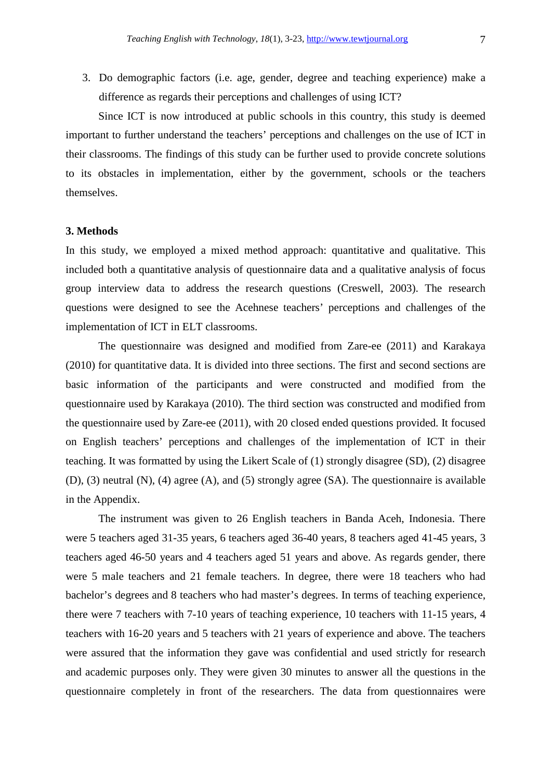3. Do demographic factors (i.e. age, gender, degree and teaching experience) make a difference as regards their perceptions and challenges of using ICT?

 Since ICT is now introduced at public schools in this country, this study is deemed important to further understand the teachers' perceptions and challenges on the use of ICT in their classrooms. The findings of this study can be further used to provide concrete solutions to its obstacles in implementation, either by the government, schools or the teachers themselves.

### **3. Methods**

In this study, we employed a mixed method approach: quantitative and qualitative. This included both a quantitative analysis of questionnaire data and a qualitative analysis of focus group interview data to address the research questions (Creswell, 2003). The research questions were designed to see the Acehnese teachers' perceptions and challenges of the implementation of ICT in ELT classrooms.

 The questionnaire was designed and modified from Zare-ee (2011) and Karakaya (2010) for quantitative data. It is divided into three sections. The first and second sections are basic information of the participants and were constructed and modified from the questionnaire used by Karakaya (2010). The third section was constructed and modified from the questionnaire used by Zare-ee (2011), with 20 closed ended questions provided. It focused on English teachers' perceptions and challenges of the implementation of ICT in their teaching. It was formatted by using the Likert Scale of (1) strongly disagree (SD), (2) disagree (D), (3) neutral (N), (4) agree (A), and (5) strongly agree (SA). The questionnaire is available in the Appendix.

 The instrument was given to 26 English teachers in Banda Aceh, Indonesia. There were 5 teachers aged 31-35 years, 6 teachers aged 36-40 years, 8 teachers aged 41-45 years, 3 teachers aged 46-50 years and 4 teachers aged 51 years and above. As regards gender, there were 5 male teachers and 21 female teachers. In degree, there were 18 teachers who had bachelor's degrees and 8 teachers who had master's degrees. In terms of teaching experience, there were 7 teachers with 7-10 years of teaching experience, 10 teachers with 11-15 years, 4 teachers with 16-20 years and 5 teachers with 21 years of experience and above. The teachers were assured that the information they gave was confidential and used strictly for research and academic purposes only. They were given 30 minutes to answer all the questions in the questionnaire completely in front of the researchers. The data from questionnaires were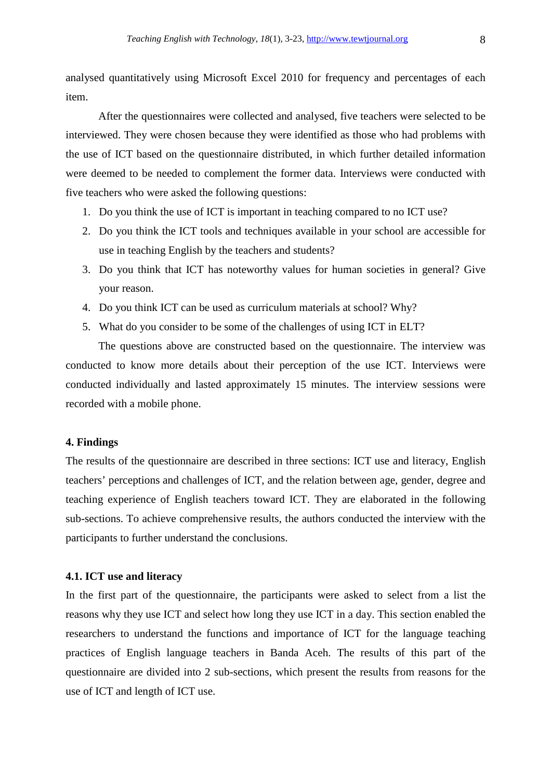analysed quantitatively using Microsoft Excel 2010 for frequency and percentages of each item.

 After the questionnaires were collected and analysed, five teachers were selected to be interviewed. They were chosen because they were identified as those who had problems with the use of ICT based on the questionnaire distributed, in which further detailed information were deemed to be needed to complement the former data. Interviews were conducted with five teachers who were asked the following questions:

- 1. Do you think the use of ICT is important in teaching compared to no ICT use?
- 2. Do you think the ICT tools and techniques available in your school are accessible for use in teaching English by the teachers and students?
- 3. Do you think that ICT has noteworthy values for human societies in general? Give your reason.
- 4. Do you think ICT can be used as curriculum materials at school? Why?
- 5. What do you consider to be some of the challenges of using ICT in ELT?

 The questions above are constructed based on the questionnaire. The interview was conducted to know more details about their perception of the use ICT. Interviews were conducted individually and lasted approximately 15 minutes. The interview sessions were recorded with a mobile phone.

### **4. Findings**

The results of the questionnaire are described in three sections: ICT use and literacy, English teachers' perceptions and challenges of ICT, and the relation between age, gender, degree and teaching experience of English teachers toward ICT. They are elaborated in the following sub-sections. To achieve comprehensive results, the authors conducted the interview with the participants to further understand the conclusions.

### **4.1. ICT use and literacy**

In the first part of the questionnaire, the participants were asked to select from a list the reasons why they use ICT and select how long they use ICT in a day. This section enabled the researchers to understand the functions and importance of ICT for the language teaching practices of English language teachers in Banda Aceh. The results of this part of the questionnaire are divided into 2 sub-sections, which present the results from reasons for the use of ICT and length of ICT use.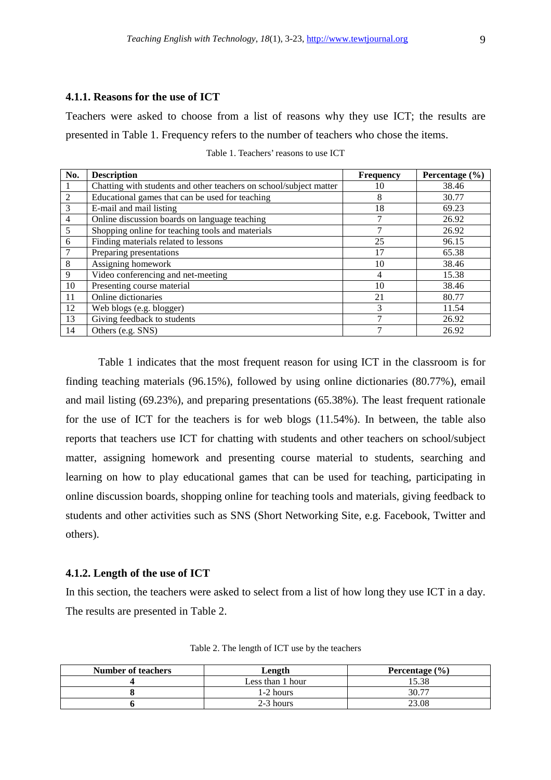## **4.1.1. Reasons for the use of ICT**

Teachers were asked to choose from a list of reasons why they use ICT; the results are presented in Table 1. Frequency refers to the number of teachers who chose the items.

| No.             | <b>Description</b>                                                 | <b>Frequency</b> | Percentage $(\% )$ |
|-----------------|--------------------------------------------------------------------|------------------|--------------------|
| 1               | Chatting with students and other teachers on school/subject matter | 10               | 38.46              |
| 2               | Educational games that can be used for teaching                    | 8                | 30.77              |
| $\mathfrak{Z}$  | E-mail and mail listing                                            | 18               | 69.23              |
| $\overline{4}$  | Online discussion boards on language teaching                      |                  | 26.92              |
| $5\overline{)}$ | Shopping online for teaching tools and materials                   | ⇁                | 26.92              |
| 6               | Finding materials related to lessons                               | 25               | 96.15              |
| $\tau$          | Preparing presentations                                            | 17               | 65.38              |
| 8               | Assigning homework                                                 | 10               | 38.46              |
| 9               | Video conferencing and net-meeting                                 | 4                | 15.38              |
| 10              | Presenting course material                                         | 10               | 38.46              |
| 11              | Online dictionaries                                                | 21               | 80.77              |
| 12              | Web blogs (e.g. blogger)                                           | 3                | 11.54              |
| 13              | Giving feedback to students                                        |                  | 26.92              |
| 14              | Others (e.g. SNS)                                                  | 7                | 26.92              |

Table 1. Teachers' reasons to use ICT

Table 1 indicates that the most frequent reason for using ICT in the classroom is for finding teaching materials (96.15%), followed by using online dictionaries (80.77%), email and mail listing (69.23%), and preparing presentations (65.38%). The least frequent rationale for the use of ICT for the teachers is for web blogs (11.54%). In between, the table also reports that teachers use ICT for chatting with students and other teachers on school/subject matter, assigning homework and presenting course material to students, searching and learning on how to play educational games that can be used for teaching, participating in online discussion boards, shopping online for teaching tools and materials, giving feedback to students and other activities such as SNS (Short Networking Site, e.g. Facebook, Twitter and others).

# **4.1.2. Length of the use of ICT**

In this section, the teachers were asked to select from a list of how long they use ICT in a day. The results are presented in Table 2.

| <b>Number of teachers</b> | Length           | Percentage $(\% )$ |  |  |
|---------------------------|------------------|--------------------|--|--|
|                           | Less than 1 hour | 15.38              |  |  |
|                           | 1-2 hours        | 30.77              |  |  |
|                           | 2-3 hours        | 23.08              |  |  |

Table 2. The length of ICT use by the teachers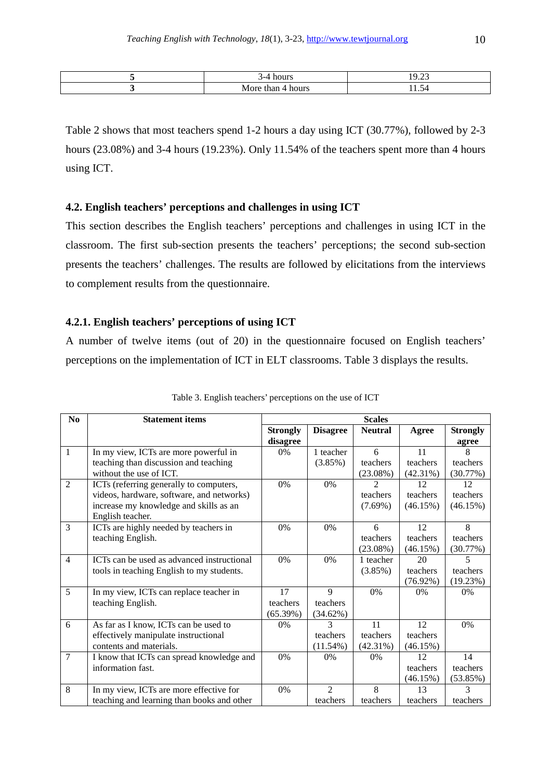| . |  |
|---|--|

Table 2 shows that most teachers spend 1-2 hours a day using ICT (30.77%), followed by 2-3 hours (23.08%) and 3-4 hours (19.23%). Only 11.54% of the teachers spent more than 4 hours using ICT.

## **4.2. English teachers' perceptions and challenges in using ICT**

This section describes the English teachers' perceptions and challenges in using ICT in the classroom. The first sub-section presents the teachers' perceptions; the second sub-section presents the teachers' challenges. The results are followed by elicitations from the interviews to complement results from the questionnaire.

# **4.2.1. English teachers' perceptions of using ICT**

A number of twelve items (out of 20) in the questionnaire focused on English teachers' perceptions on the implementation of ICT in ELT classrooms. Table 3 displays the results.

| No             | <b>Statement items</b>                     | <b>Scales</b>   |                 |                |             |                 |  |
|----------------|--------------------------------------------|-----------------|-----------------|----------------|-------------|-----------------|--|
|                |                                            | <b>Strongly</b> | <b>Disagree</b> | <b>Neutral</b> | Agree       | <b>Strongly</b> |  |
|                |                                            | disagree        |                 |                |             | agree           |  |
| $\mathbf{1}$   | In my view, ICTs are more powerful in      | 0%              | 1 teacher       | 6              | 11          | 8               |  |
|                | teaching than discussion and teaching      |                 | $(3.85\%)$      | teachers       | teachers    | teachers        |  |
|                | without the use of ICT.                    |                 |                 | $(23.08\%)$    | $(42.31\%)$ | (30.77%)        |  |
| $\overline{2}$ | ICTs (referring generally to computers,    | 0%              | 0%              | $\mathfrak{D}$ | 12          | 12              |  |
|                | videos, hardware, software, and networks)  |                 |                 | teachers       | teachers    | teachers        |  |
|                | increase my knowledge and skills as an     |                 |                 | $(7.69\%)$     | (46.15%)    | (46.15%)        |  |
|                | English teacher.                           |                 |                 |                |             |                 |  |
| 3              | ICTs are highly needed by teachers in      | $0\%$           | 0%              | 6              | 12          | 8               |  |
|                | teaching English.                          |                 |                 | teachers       | teachers    | teachers        |  |
|                |                                            |                 |                 | $(23.08\%)$    | (46.15%)    | (30.77%)        |  |
| $\overline{4}$ | ICTs can be used as advanced instructional | 0%              | 0%              | 1 teacher      | 20          | 5               |  |
|                | tools in teaching English to my students.  |                 |                 | $(3.85\%)$     | teachers    | teachers        |  |
|                |                                            |                 |                 |                | $(76.92\%)$ | (19.23%)        |  |
| $\overline{5}$ | In my view, ICTs can replace teacher in    | 17              | 9               | 0%             | $0\%$       | $0\%$           |  |
|                | teaching English.                          | teachers        | teachers        |                |             |                 |  |
|                |                                            | (65.39%)        | (34.62%)        |                |             |                 |  |
| 6              | As far as I know, ICTs can be used to      | 0%              | 3               | 11             | 12          | 0%              |  |
|                | effectively manipulate instructional       |                 | teachers        | teachers       | teachers    |                 |  |
|                | contents and materials.                    |                 | (11.54%)        | $(42.31\%)$    | (46.15%)    |                 |  |
| $\overline{7}$ | I know that ICTs can spread knowledge and  | 0%              | 0%              | $0\%$          | 12          | 14              |  |
|                | information fast.                          |                 |                 |                | teachers    | teachers        |  |
|                |                                            |                 |                 |                | (46.15%)    | (53.85%)        |  |
| 8              | In my view, ICTs are more effective for    | $0\%$           | $\mathfrak{D}$  | 8              | 13          | 3               |  |
|                | teaching and learning than books and other |                 | teachers        | teachers       | teachers    | teachers        |  |

| Table 3. English teachers' perceptions on the use of ICT |  |  |
|----------------------------------------------------------|--|--|
|                                                          |  |  |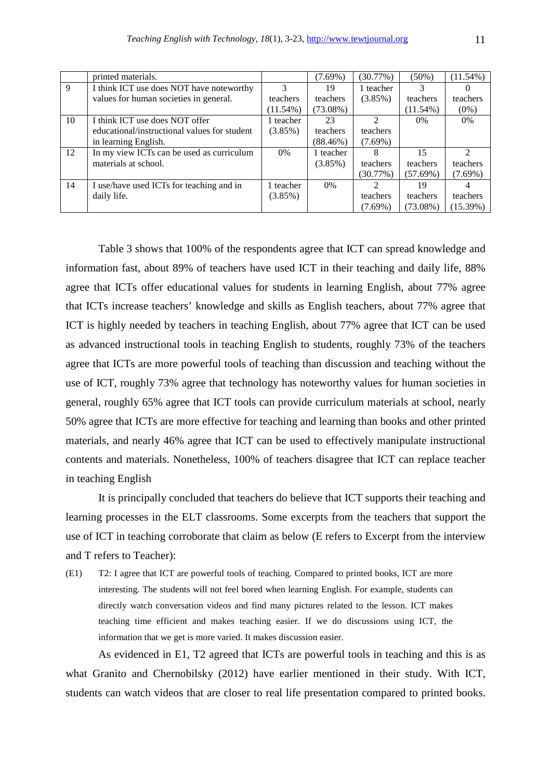|    | printed materials.                           |             | $(7.69\%)$  | (30.77%)   | $(50\%)$    | $(11.54\%)$ |
|----|----------------------------------------------|-------------|-------------|------------|-------------|-------------|
| 9  | I think ICT use does NOT have noteworthy     |             | 19          | 1 teacher  |             |             |
|    | values for human societies in general.       | teachers    | teachers    | $(3.85\%)$ | teachers    | teachers    |
|    |                                              | $(11.54\%)$ | $(73.08\%)$ |            | $(11.54\%)$ | $(0\%)$     |
| 10 | I think ICT use does NOT offer               | 1 teacher   | 23          |            | $0\%$       | 0%          |
|    | educational/instructional values for student | (3.85%)     | teachers    | teachers   |             |             |
|    | in learning English.                         |             | $(88.46\%)$ | $(7.69\%)$ |             |             |
| 12 | In my view ICTs can be used as curriculum    | $0\%$       | 1 teacher   | x          | 15          |             |
|    | materials at school.                         |             | $(3.85\%)$  | teachers   | teachers    | teachers    |
|    |                                              |             |             | (30.77%)   | (57.69%)    | $(7.69\%)$  |
| 14 | I use/have used ICTs for teaching and in     | 1 teacher   | $0\%$       |            | 19          |             |
|    | daily life.                                  | $(3.85\%)$  |             | teachers   | teachers    | teachers    |
|    |                                              |             |             | $(7.69\%)$ | $(73.08\%)$ | (15.39%)    |

 Table 3 shows that 100% of the respondents agree that ICT can spread knowledge and information fast, about 89% of teachers have used ICT in their teaching and daily life, 88% agree that ICTs offer educational values for students in learning English, about 77% agree that ICTs increase teachers' knowledge and skills as English teachers, about 77% agree that ICT is highly needed by teachers in teaching English, about 77% agree that ICT can be used as advanced instructional tools in teaching English to students, roughly 73% of the teachers agree that ICTs are more powerful tools of teaching than discussion and teaching without the use of ICT, roughly 73% agree that technology has noteworthy values for human societies in general, roughly 65% agree that ICT tools can provide curriculum materials at school, nearly 50% agree that ICTs are more effective for teaching and learning than books and other printed materials, and nearly 46% agree that ICT can be used to effectively manipulate instructional contents and materials. Nonetheless, 100% of teachers disagree that ICT can replace teacher in teaching English

 It is principally concluded that teachers do believe that ICT supports their teaching and learning processes in the ELT classrooms. Some excerpts from the teachers that support the use of ICT in teaching corroborate that claim as below (E refers to Excerpt from the interview and T refers to Teacher):

(E1) T2: I agree that ICT are powerful tools of teaching. Compared to printed books, ICT are more interesting. The students will not feel bored when learning English. For example, students can directly watch conversation videos and find many pictures related to the lesson. ICT makes teaching time efficient and makes teaching easier. If we do discussions using ICT, the information that we get is more varied. It makes discussion easier.

 As evidenced in E1, T2 agreed that ICTs are powerful tools in teaching and this is as what Granito and Chernobilsky (2012) have earlier mentioned in their study. With ICT, students can watch videos that are closer to real life presentation compared to printed books.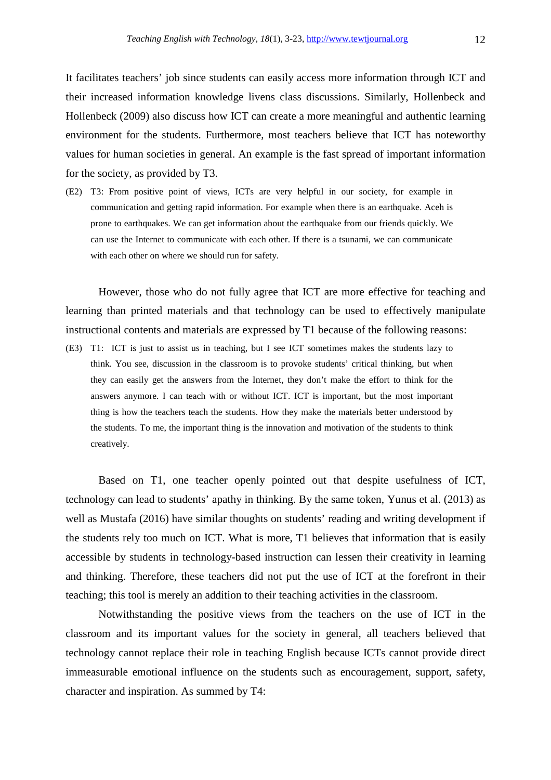It facilitates teachers' job since students can easily access more information through ICT and their increased information knowledge livens class discussions. Similarly, Hollenbeck and Hollenbeck (2009) also discuss how ICT can create a more meaningful and authentic learning environment for the students. Furthermore, most teachers believe that ICT has noteworthy values for human societies in general. An example is the fast spread of important information for the society, as provided by T3.

(E2) T3: From positive point of views, ICTs are very helpful in our society, for example in communication and getting rapid information. For example when there is an earthquake. Aceh is prone to earthquakes. We can get information about the earthquake from our friends quickly. We can use the Internet to communicate with each other. If there is a tsunami, we can communicate with each other on where we should run for safety.

 However, those who do not fully agree that ICT are more effective for teaching and learning than printed materials and that technology can be used to effectively manipulate instructional contents and materials are expressed by T1 because of the following reasons:

(E3) T1: ICT is just to assist us in teaching, but I see ICT sometimes makes the students lazy to think. You see, discussion in the classroom is to provoke students' critical thinking, but when they can easily get the answers from the Internet, they don't make the effort to think for the answers anymore. I can teach with or without ICT. ICT is important, but the most important thing is how the teachers teach the students. How they make the materials better understood by the students. To me, the important thing is the innovation and motivation of the students to think creatively.

 Based on T1, one teacher openly pointed out that despite usefulness of ICT, technology can lead to students' apathy in thinking. By the same token, Yunus et al. (2013) as well as Mustafa (2016) have similar thoughts on students' reading and writing development if the students rely too much on ICT. What is more, T1 believes that information that is easily accessible by students in technology-based instruction can lessen their creativity in learning and thinking. Therefore, these teachers did not put the use of ICT at the forefront in their teaching; this tool is merely an addition to their teaching activities in the classroom.

 Notwithstanding the positive views from the teachers on the use of ICT in the classroom and its important values for the society in general, all teachers believed that technology cannot replace their role in teaching English because ICTs cannot provide direct immeasurable emotional influence on the students such as encouragement, support, safety, character and inspiration. As summed by T4: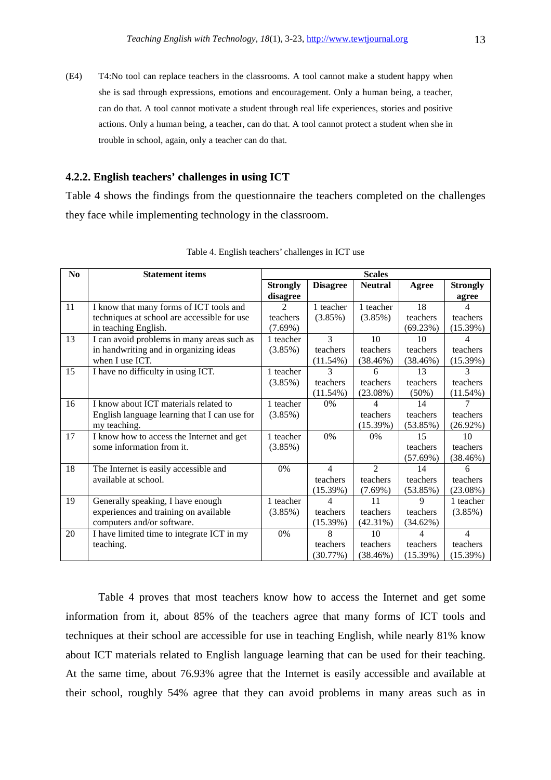(E4) T4: No tool can replace teachers in the classrooms. A tool cannot make a student happy when she is sad through expressions, emotions and encouragement. Only a human being, a teacher, can do that. A tool cannot motivate a student through real life experiences, stories and positive actions. Only a human being, a teacher, can do that. A tool cannot protect a student when she in trouble in school, again, only a teacher can do that.

# **4.2.2. English teachers' challenges in using ICT**

Table 4 shows the findings from the questionnaire the teachers completed on the challenges they face while implementing technology in the classroom.

| N <sub>0</sub> | <b>Statement items</b>                       | <b>Scales</b>   |                 |                        |          |                 |  |
|----------------|----------------------------------------------|-----------------|-----------------|------------------------|----------|-----------------|--|
|                |                                              | <b>Strongly</b> | <b>Disagree</b> | <b>Neutral</b>         | Agree    | <b>Strongly</b> |  |
|                |                                              | disagree        |                 |                        |          | agree           |  |
| 11             | I know that many forms of ICT tools and      |                 | 1 teacher       | 1 teacher              | 18       |                 |  |
|                | techniques at school are accessible for use  | teachers        | $(3.85\%)$      | $(3.85\%)$             | teachers | teachers        |  |
|                | in teaching English.                         | $(7.69\%)$      |                 |                        | (69.23%) | (15.39%)        |  |
| 13             | I can avoid problems in many areas such as   | 1 teacher       | $\mathcal{F}$   | 10                     | 10       | 4               |  |
|                | in handwriting and in organizing ideas       | (3.85%)         | teachers        | teachers               | teachers | teachers        |  |
|                | when I use ICT.                              |                 | $(11.54\%)$     | (38.46%)               | (38.46%) | (15.39%)        |  |
| 15             | I have no difficulty in using ICT.           | 1 teacher       | 3               | 6                      | 13       | 3               |  |
|                |                                              | $(3.85\%)$      | teachers        | teachers               | teachers | teachers        |  |
|                |                                              |                 | $(11.54\%)$     | (23.08%)               | $(50\%)$ | $(11.54\%)$     |  |
| 16             | I know about ICT materials related to        | 1 teacher       | 0%              | 4                      | 14       |                 |  |
|                | English language learning that I can use for | $(3.85\%)$      |                 | teachers               | teachers | teachers        |  |
|                | my teaching.                                 |                 |                 | (15.39%)               | (53.85%) | $(26.92\%)$     |  |
| 17             | I know how to access the Internet and get    | 1 teacher       | $0\%$           | $0\%$                  | 15       | 10              |  |
|                | some information from it.                    | (3.85%)         |                 |                        | teachers | teachers        |  |
|                |                                              |                 |                 |                        | (57.69%) | (38.46%)        |  |
| 18             | The Internet is easily accessible and        | 0%              | $\overline{4}$  | $\mathcal{D}_{\alpha}$ | 14       | 6               |  |
|                | available at school.                         |                 | teachers        | teachers               | teachers | teachers        |  |
|                |                                              |                 | (15.39%)        | $(7.69\%)$             | (53.85%) | $(23.08\%)$     |  |
| 19             | Generally speaking, I have enough            | 1 teacher       |                 | 11                     | 9        | 1 teacher       |  |
|                | experiences and training on available        | (3.85%)         | teachers        | teachers               | teachers | $(3.85\%)$      |  |
|                | computers and/or software.                   |                 | (15.39%)        | $(42.31\%)$            | (34.62%) |                 |  |
| 20             | I have limited time to integrate ICT in my   | 0%              | 8               | 10                     |          | $\overline{4}$  |  |
|                | teaching.                                    |                 | teachers        | teachers               | teachers | teachers        |  |
|                |                                              |                 | (30.77%)        | (38.46%)               | (15.39%) | (15.39%)        |  |

Table 4. English teachers' challenges in ICT use

 Table 4 proves that most teachers know how to access the Internet and get some information from it, about 85% of the teachers agree that many forms of ICT tools and techniques at their school are accessible for use in teaching English, while nearly 81% know about ICT materials related to English language learning that can be used for their teaching. At the same time, about 76.93% agree that the Internet is easily accessible and available at their school, roughly 54% agree that they can avoid problems in many areas such as in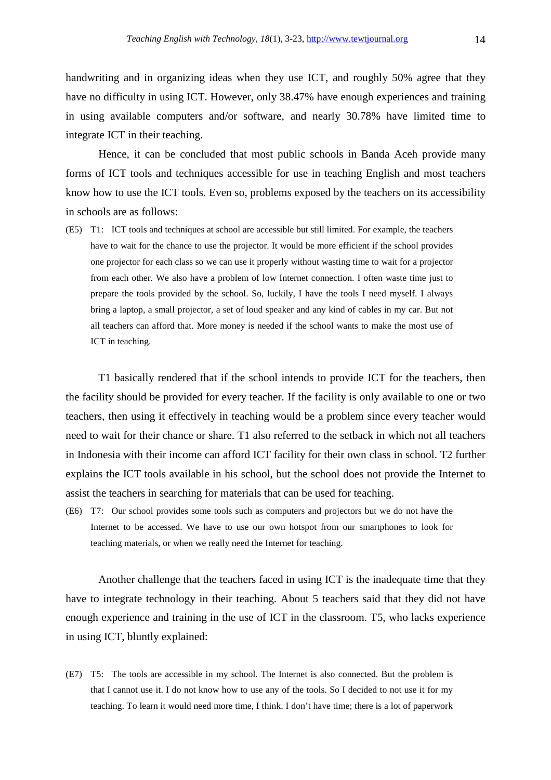handwriting and in organizing ideas when they use ICT, and roughly 50% agree that they have no difficulty in using ICT. However, only 38.47% have enough experiences and training in using available computers and/or software, and nearly 30.78% have limited time to integrate ICT in their teaching.

 Hence, it can be concluded that most public schools in Banda Aceh provide many forms of ICT tools and techniques accessible for use in teaching English and most teachers know how to use the ICT tools. Even so, problems exposed by the teachers on its accessibility in schools are as follows:

(E5) T1: ICT tools and techniques at school are accessible but still limited. For example, the teachers have to wait for the chance to use the projector. It would be more efficient if the school provides one projector for each class so we can use it properly without wasting time to wait for a projector from each other. We also have a problem of low Internet connection. I often waste time just to prepare the tools provided by the school. So, luckily, I have the tools I need myself. I always bring a laptop, a small projector, a set of loud speaker and any kind of cables in my car. But not all teachers can afford that. More money is needed if the school wants to make the most use of ICT in teaching.

 T1 basically rendered that if the school intends to provide ICT for the teachers, then the facility should be provided for every teacher. If the facility is only available to one or two teachers, then using it effectively in teaching would be a problem since every teacher would need to wait for their chance or share. T1 also referred to the setback in which not all teachers in Indonesia with their income can afford ICT facility for their own class in school. T2 further explains the ICT tools available in his school, but the school does not provide the Internet to assist the teachers in searching for materials that can be used for teaching.

(E6) T7: Our school provides some tools such as computers and projectors but we do not have the Internet to be accessed. We have to use our own hotspot from our smartphones to look for teaching materials, or when we really need the Internet for teaching.

 Another challenge that the teachers faced in using ICT is the inadequate time that they have to integrate technology in their teaching. About 5 teachers said that they did not have enough experience and training in the use of ICT in the classroom. T5, who lacks experience in using ICT, bluntly explained:

(E7) T5: The tools are accessible in my school. The Internet is also connected. But the problem is that I cannot use it. I do not know how to use any of the tools. So I decided to not use it for my teaching. To learn it would need more time, I think. I don't have time; there is a lot of paperwork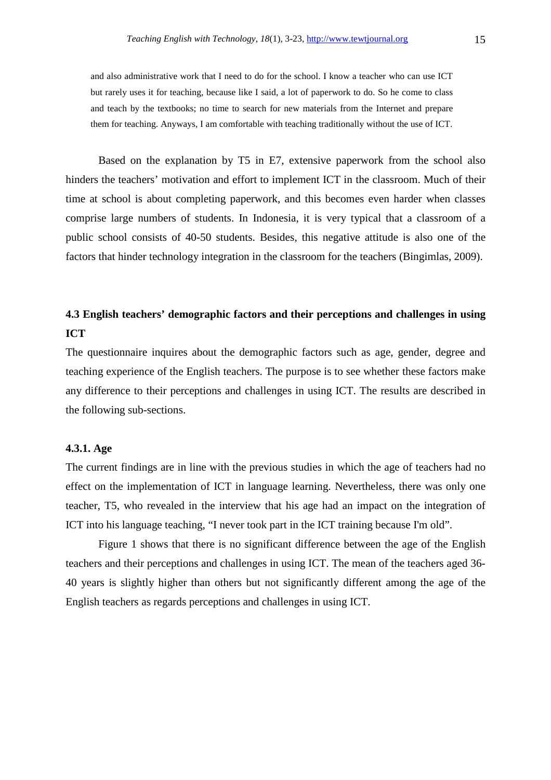and also administrative work that I need to do for the school. I know a teacher who can use ICT but rarely uses it for teaching, because like I said, a lot of paperwork to do. So he come to class and teach by the textbooks; no time to search for new materials from the Internet and prepare them for teaching. Anyways, I am comfortable with teaching traditionally without the use of ICT.

 Based on the explanation by T5 in E7, extensive paperwork from the school also hinders the teachers' motivation and effort to implement ICT in the classroom. Much of their time at school is about completing paperwork, and this becomes even harder when classes comprise large numbers of students. In Indonesia, it is very typical that a classroom of a public school consists of 40-50 students. Besides, this negative attitude is also one of the factors that hinder technology integration in the classroom for the teachers (Bingimlas, 2009).

# **4.3 English teachers' demographic factors and their perceptions and challenges in using ICT**

The questionnaire inquires about the demographic factors such as age, gender, degree and teaching experience of the English teachers. The purpose is to see whether these factors make any difference to their perceptions and challenges in using ICT. The results are described in the following sub-sections.

### **4.3.1. Age**

The current findings are in line with the previous studies in which the age of teachers had no effect on the implementation of ICT in language learning. Nevertheless, there was only one teacher, T5, who revealed in the interview that his age had an impact on the integration of ICT into his language teaching, "I never took part in the ICT training because I'm old".

 Figure 1 shows that there is no significant difference between the age of the English teachers and their perceptions and challenges in using ICT. The mean of the teachers aged 36- 40 years is slightly higher than others but not significantly different among the age of the English teachers as regards perceptions and challenges in using ICT.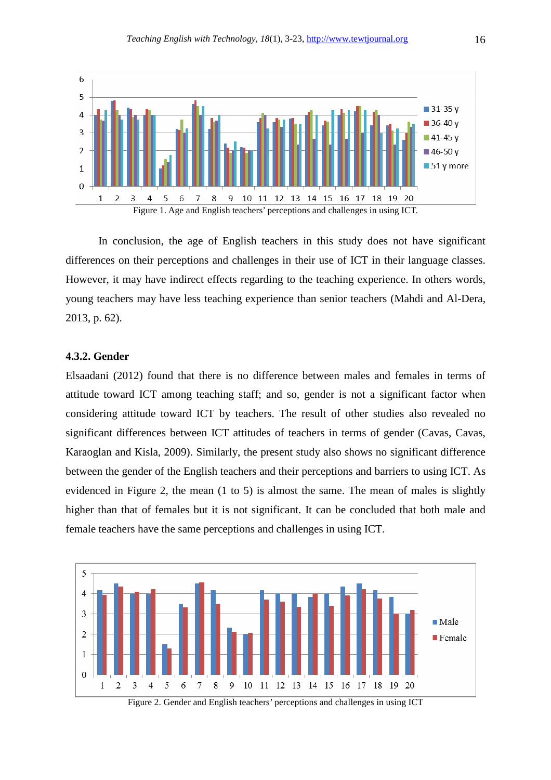

 In conclusion, the age of English teachers in this study does not have significant differences on their perceptions and challenges in their use of ICT in their language classes. However, it may have indirect effects regarding to the teaching experience. In others words, young teachers may have less teaching experience than senior teachers (Mahdi and Al-Dera, 2013, p. 62).

### **4.3.2. Gender**

Elsaadani (2012) found that there is no difference between males and females in terms of attitude toward ICT among teaching staff; and so, gender is not a significant factor when considering attitude toward ICT by teachers. The result of other studies also revealed no significant differences between ICT attitudes of teachers in terms of gender (Cavas, Cavas, Karaoglan and Kisla, 2009). Similarly, the present study also shows no significant difference between the gender of the English teachers and their perceptions and barriers to using ICT. As evidenced in Figure 2, the mean (1 to 5) is almost the same. The mean of males is slightly higher than that of females but it is not significant. It can be concluded that both male and female teachers have the same perceptions and challenges in using ICT.



Figure 2. Gender and English teachers' perceptions and challenges in using ICT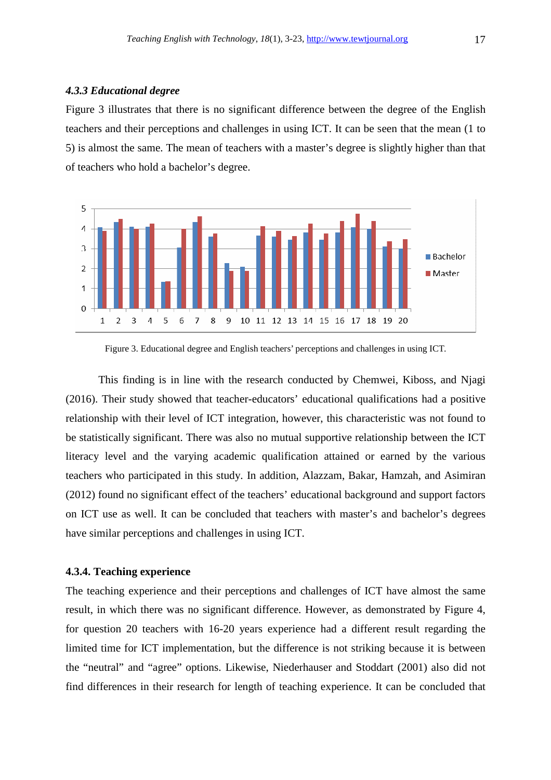### *4.3.3 Educational degree*

Figure 3 illustrates that there is no significant difference between the degree of the English teachers and their perceptions and challenges in using ICT. It can be seen that the mean (1 to 5) is almost the same. The mean of teachers with a master's degree is slightly higher than that of teachers who hold a bachelor's degree.



Figure 3. Educational degree and English teachers' perceptions and challenges in using ICT.

 This finding is in line with the research conducted by Chemwei, Kiboss, and Njagi (2016). Their study showed that teacher-educators' educational qualifications had a positive relationship with their level of ICT integration, however, this characteristic was not found to be statistically significant. There was also no mutual supportive relationship between the ICT literacy level and the varying academic qualification attained or earned by the various teachers who participated in this study. In addition, Alazzam, Bakar, Hamzah, and Asimiran (2012) found no significant effect of the teachers' educational background and support factors on ICT use as well. It can be concluded that teachers with master's and bachelor's degrees have similar perceptions and challenges in using ICT.

### **4.3.4. Teaching experience**

The teaching experience and their perceptions and challenges of ICT have almost the same result, in which there was no significant difference. However, as demonstrated by Figure 4, for question 20 teachers with 16-20 years experience had a different result regarding the limited time for ICT implementation, but the difference is not striking because it is between the "neutral" and "agree" options. Likewise, Niederhauser and Stoddart (2001) also did not find differences in their research for length of teaching experience. It can be concluded that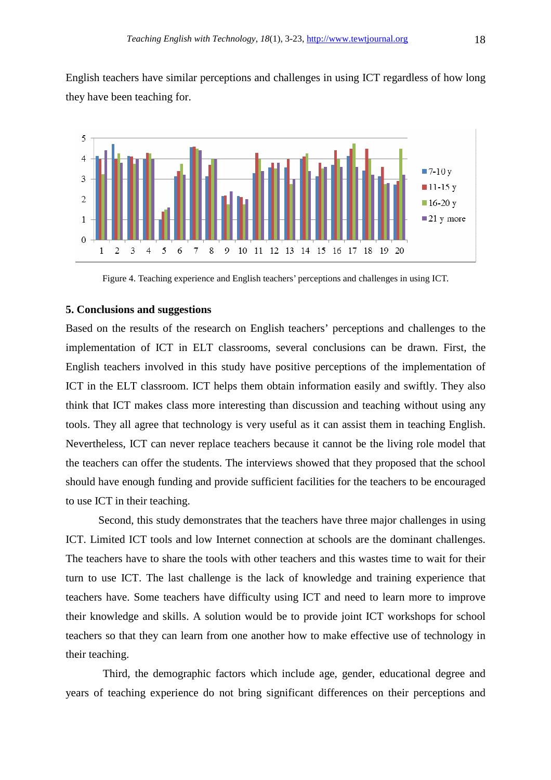English teachers have similar perceptions and challenges in using ICT regardless of how long they have been teaching for.



Figure 4. Teaching experience and English teachers' perceptions and challenges in using ICT.

### **5. Conclusions and suggestions**

Based on the results of the research on English teachers' perceptions and challenges to the implementation of ICT in ELT classrooms, several conclusions can be drawn. First, the English teachers involved in this study have positive perceptions of the implementation of ICT in the ELT classroom. ICT helps them obtain information easily and swiftly. They also think that ICT makes class more interesting than discussion and teaching without using any tools. They all agree that technology is very useful as it can assist them in teaching English. Nevertheless, ICT can never replace teachers because it cannot be the living role model that the teachers can offer the students. The interviews showed that they proposed that the school should have enough funding and provide sufficient facilities for the teachers to be encouraged to use ICT in their teaching.

 Second, this study demonstrates that the teachers have three major challenges in using ICT. Limited ICT tools and low Internet connection at schools are the dominant challenges. The teachers have to share the tools with other teachers and this wastes time to wait for their turn to use ICT. The last challenge is the lack of knowledge and training experience that teachers have. Some teachers have difficulty using ICT and need to learn more to improve their knowledge and skills. A solution would be to provide joint ICT workshops for school teachers so that they can learn from one another how to make effective use of technology in their teaching.

 Third, the demographic factors which include age, gender, educational degree and years of teaching experience do not bring significant differences on their perceptions and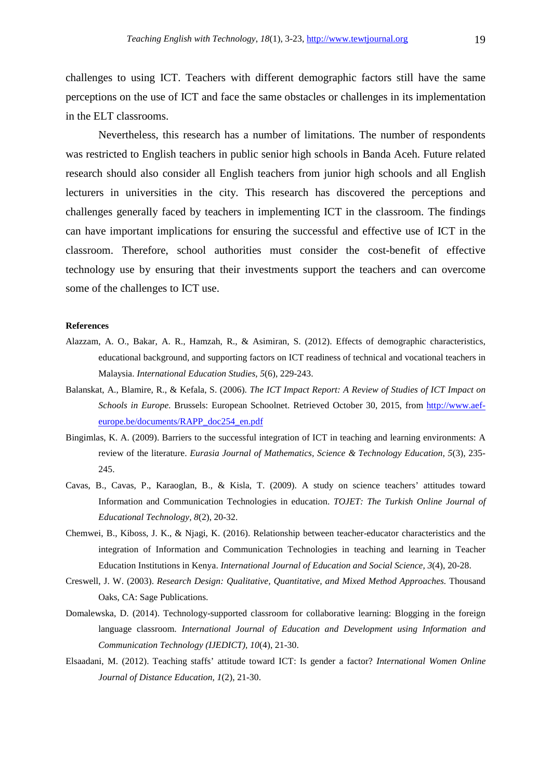challenges to using ICT. Teachers with different demographic factors still have the same perceptions on the use of ICT and face the same obstacles or challenges in its implementation in the ELT classrooms.

 Nevertheless, this research has a number of limitations. The number of respondents was restricted to English teachers in public senior high schools in Banda Aceh. Future related research should also consider all English teachers from junior high schools and all English lecturers in universities in the city. This research has discovered the perceptions and challenges generally faced by teachers in implementing ICT in the classroom. The findings can have important implications for ensuring the successful and effective use of ICT in the classroom. Therefore, school authorities must consider the cost-benefit of effective technology use by ensuring that their investments support the teachers and can overcome some of the challenges to ICT use.

#### **References**

- Alazzam, A. O., Bakar, A. R., Hamzah, R., & Asimiran, S. (2012). Effects of demographic characteristics, educational background, and supporting factors on ICT readiness of technical and vocational teachers in Malaysia. *International Education Studies, 5*(6), 229-243.
- Balanskat, A., Blamire, R., & Kefala, S. (2006). *The ICT Impact Report: A Review of Studies of ICT Impact on Schools in Europe.* Brussels: European Schoolnet. Retrieved October 30, 2015, from http://www.aefeurope.be/documents/RAPP\_doc254\_en.pdf
- Bingimlas, K. A. (2009). Barriers to the successful integration of ICT in teaching and learning environments: A review of the literature. *Eurasia Journal of Mathematics, Science & Technology Education, 5*(3), 235- 245.
- Cavas, B., Cavas, P., Karaoglan, B., & Kisla, T. (2009). A study on science teachers' attitudes toward Information and Communication Technologies in education. *TOJET: The Turkish Online Journal of Educational Technology, 8*(2), 20-32.
- Chemwei, B., Kiboss, J. K., & Njagi, K. (2016). Relationship between teacher-educator characteristics and the integration of Information and Communication Technologies in teaching and learning in Teacher Education Institutions in Kenya. *International Journal of Education and Social Science, 3*(4), 20-28.
- Creswell, J. W. (2003). *Research Design: Qualitative, Quantitative, and Mixed Method Approaches.* Thousand Oaks, CA: Sage Publications.
- Domalewska, D. (2014). Technology-supported classroom for collaborative learning: Blogging in the foreign language classroom. *International Journal of Education and Development using Information and Communication Technology (IJEDICT), 10*(4), 21-30.
- Elsaadani, M. (2012). Teaching staffs' attitude toward ICT: Is gender a factor? *International Women Online Journal of Distance Education, 1*(2), 21-30.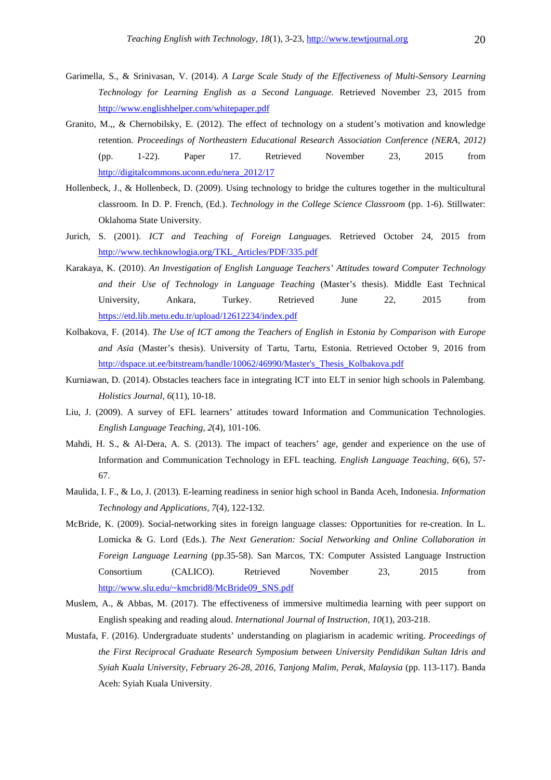- Garimella, S., & Srinivasan, V. (2014). *A Large Scale Study of the Effectiveness of Multi-Sensory Learning Technology for Learning English as a Second Language.* Retrieved November 23, 2015 from http://www.englishhelper.com/whitepaper.pdf
- Granito, M.,, & Chernobilsky, E. (2012). The effect of technology on a student's motivation and knowledge retention. *Proceedings of Northeastern Educational Research Association Conference (NERA, 2012)* (pp. 1-22). Paper 17. Retrieved November 23, 2015 from http://digitalcommons.uconn.edu/nera\_2012/17
- Hollenbeck, J., & Hollenbeck, D. (2009). Using technology to bridge the cultures together in the multicultural classroom. In D. P. French, (Ed.). *Technology in the College Science Classroom* (pp. 1-6). Stillwater: Oklahoma State University.
- Jurich, S. (2001). *ICT and Teaching of Foreign Languages.* Retrieved October 24, 2015 from http://www.techknowlogia.org/TKL\_Articles/PDF/335.pdf
- Karakaya, K. (2010). *An Investigation of English Language Teachers' Attitudes toward Computer Technology and their Use of Technology in Language Teaching* (Master's thesis). Middle East Technical University, Ankara, Turkey. Retrieved June 22, 2015 from https://etd.lib.metu.edu.tr/upload/12612234/index.pdf
- Kolbakova, F. (2014). *The Use of ICT among the Teachers of English in Estonia by Comparison with Europe and Asia* (Master's thesis). University of Tartu, Tartu, Estonia. Retrieved October 9, 2016 from http://dspace.ut.ee/bitstream/handle/10062/46990/Master's Thesis Kolbakova.pdf
- Kurniawan, D. (2014). Obstacles teachers face in integrating ICT into ELT in senior high schools in Palembang. *Holistics Journal, 6*(11), 10-18.
- Liu, J. (2009). A survey of EFL learners' attitudes toward Information and Communication Technologies. *English Language Teaching, 2*(4), 101-106.
- Mahdi, H. S., & Al-Dera, A. S. (2013). The impact of teachers' age, gender and experience on the use of Information and Communication Technology in EFL teaching. *English Language Teaching, 6*(6), 57- 67.
- Maulida, I. F., & Lo, J. (2013). E-learning readiness in senior high school in Banda Aceh, Indonesia. *Information Technology and Applications, 7*(4), 122-132.
- McBride, K. (2009). Social-networking sites in foreign language classes: Opportunities for re-creation. In L. Lomicka & G. Lord (Eds.). *The Next Generation: Social Networking and Online Collaboration in Foreign Language Learning* (pp.35-58). San Marcos, TX: Computer Assisted Language Instruction Consortium (CALICO). Retrieved November 23, 2015 from http://www.slu.edu/~kmcbrid8/McBride09\_SNS.pdf
- Muslem, A., & Abbas, M. (2017). The effectiveness of immersive multimedia learning with peer support on English speaking and reading aloud. *International Journal of Instruction, 10*(1), 203-218.
- Mustafa, F. (2016). Undergraduate students' understanding on plagiarism in academic writing. *Proceedings of the First Reciprocal Graduate Research Symposium between University Pendidikan Sultan Idris and Syiah Kuala University, February 26-28, 2016, Tanjong Malim, Perak, Malaysia* (pp. 113-117). Banda Aceh: Syiah Kuala University.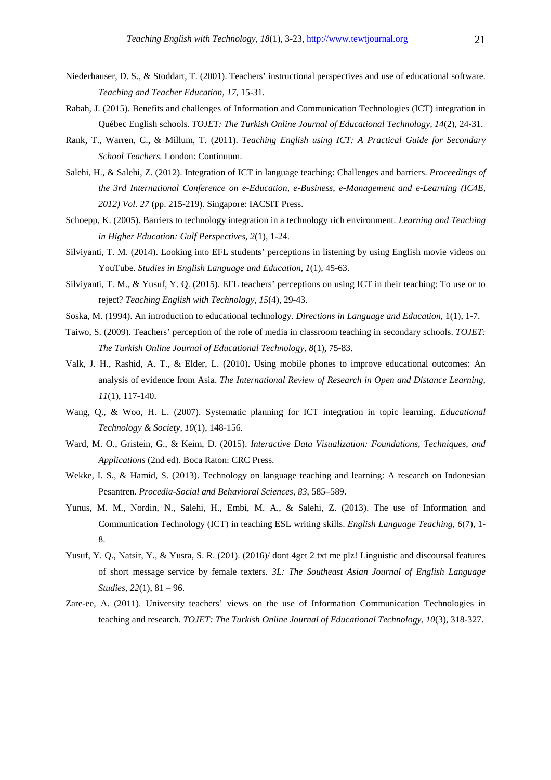- Niederhauser, D. S., & Stoddart, T. (2001). Teachers' instructional perspectives and use of educational software. *Teaching and Teacher Education, 17*, 15-31.
- Rabah, J. (2015). Benefits and challenges of Information and Communication Technologies (ICT) integration in Québec English schools. *TOJET: The Turkish Online Journal of Educational Technology, 14*(2), 24-31.
- Rank, T., Warren, C., & Millum, T. (2011). *Teaching English using ICT: A Practical Guide for Secondary School Teachers.* London: Continuum.
- Salehi, H., & Salehi, Z. (2012). Integration of ICT in language teaching: Challenges and barriers. *Proceedings of the 3rd International Conference on e-Education, e-Business, e-Management and e-Learning (IC4E, 2012) Vol. 27* (pp. 215-219). Singapore: IACSIT Press.
- Schoepp, K. (2005). Barriers to technology integration in a technology rich environment. *Learning and Teaching in Higher Education: Gulf Perspectives, 2*(1), 1-24.
- Silviyanti, T. M. (2014). Looking into EFL students' perceptions in listening by using English movie videos on YouTube. *Studies in English Language and Education, 1*(1), 45-63.
- Silviyanti, T. M., & Yusuf, Y. Q. (2015). EFL teachers' perceptions on using ICT in their teaching: To use or to reject? *Teaching English with Technology, 15*(4), 29-43.
- Soska, M. (1994). An introduction to educational technology. *Directions in Language and Education*, 1(1), 1-7.
- Taiwo, S. (2009). Teachers' perception of the role of media in classroom teaching in secondary schools. *TOJET: The Turkish Online Journal of Educational Technology, 8*(1), 75-83.
- Valk, J. H., Rashid, A. T., & Elder, L. (2010). Using mobile phones to improve educational outcomes: An analysis of evidence from Asia. *The International Review of Research in Open and Distance Learning, 11*(1), 117-140.
- Wang, Q., & Woo, H. L. (2007). Systematic planning for ICT integration in topic learning. *Educational Technology & Society, 10*(1), 148-156.
- Ward, M. O., Gristein, G., & Keim, D. (2015). *Interactive Data Visualization: Foundations, Techniques, and Applications* (2nd ed). Boca Raton: CRC Press.
- Wekke, I. S., & Hamid, S. (2013). Technology on language teaching and learning: A research on Indonesian Pesantren. *Procedia-Social and Behavioral Sciences, 83*, 585–589.
- Yunus, M. M., Nordin, N., Salehi, H., Embi, M. A., & Salehi, Z. (2013). The use of Information and Communication Technology (ICT) in teaching ESL writing skills. *English Language Teaching, 6*(7), 1- 8.
- Yusuf, Y. Q., Natsir, Y., & Yusra, S. R. (201). (2016)/ dont 4get 2 txt me plz! Linguistic and discoursal features of short message service by female texters. *3L: The Southeast Asian Journal of English Language Studies, 22*(1), 81 – 96.
- Zare-ee, A. (2011). University teachers' views on the use of Information Communication Technologies in teaching and research. *TOJET: The Turkish Online Journal of Educational Technology, 10*(3), 318-327.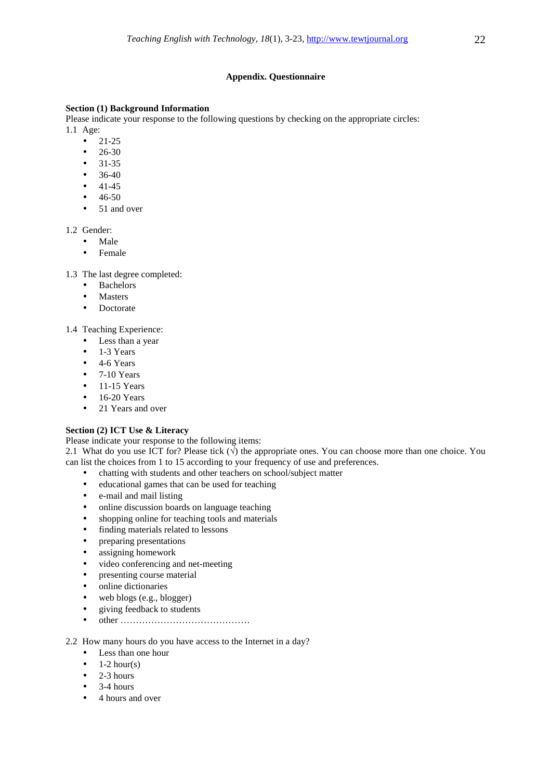### **Appendix. Questionnaire**

### **Section (1) Background Information**

Please indicate your response to the following questions by checking on the appropriate circles: 1.1 Age:

- $21-25$
- 26-30
- 31-35
- $36-40$
- $41-45$
- 46-50
- 51 and over

1.2 Gender:

- Male
	- Female

1.3 The last degree completed:

- Bachelors
- **Masters**
- Doctorate

1.4 Teaching Experience:

- Less than a year
- 1-3 Years
- $\bullet$  4-6 Years
- $\bullet$  7-10 Years
- $\bullet$  11-15 Years
- $\bullet$  16-20 Years
- 21 Years and over

### **Section (2) ICT Use & Literacy**

Please indicate your response to the following items:

2.1 What do you use ICT for? Please tick  $(\sqrt{j})$  the appropriate ones. You can choose more than one choice. You can list the choices from 1 to 15 according to your frequency of use and preferences.

- chatting with students and other teachers on school/subject matter
- educational games that can be used for teaching
- e-mail and mail listing
- online discussion boards on language teaching
- shopping online for teaching tools and materials
- finding materials related to lessons
- preparing presentations
- assigning homework
- video conferencing and net-meeting
- presenting course material
- online dictionaries
- web blogs (e.g., blogger)
- giving feedback to students
- other ……………………………………

2.2 How many hours do you have access to the Internet in a day?

- Less than one hour
- $1-2$  hour(s)
- $\bullet$  2-3 hours
- 3-4 hours
- 4 hours and over